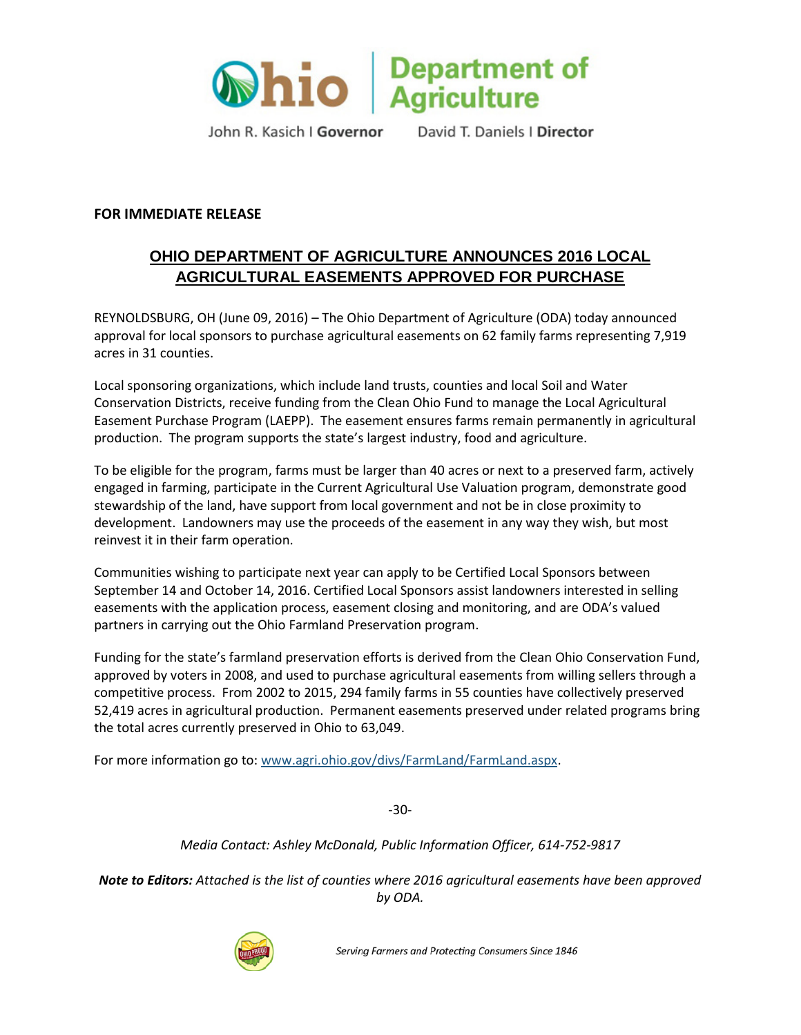

John R. Kasich I Governor

David T. Daniels | Director

## **FOR IMMEDIATE RELEASE**

## **OHIO DEPARTMENT OF AGRICULTURE ANNOUNCES 2016 LOCAL AGRICULTURAL EASEMENTS APPROVED FOR PURCHASE**

REYNOLDSBURG, OH (June 09, 2016) – The Ohio Department of Agriculture (ODA) today announced approval for local sponsors to purchase agricultural easements on 62 family farms representing 7,919 acres in 31 counties.

Local sponsoring organizations, which include land trusts, counties and local Soil and Water Conservation Districts, receive funding from the Clean Ohio Fund to manage the Local Agricultural Easement Purchase Program (LAEPP). The easement ensures farms remain permanently in agricultural production. The program supports the state's largest industry, food and agriculture.

To be eligible for the program, farms must be larger than 40 acres or next to a preserved farm, actively engaged in farming, participate in the Current Agricultural Use Valuation program, demonstrate good stewardship of the land, have support from local government and not be in close proximity to development. Landowners may use the proceeds of the easement in any way they wish, but most reinvest it in their farm operation.

Communities wishing to participate next year can apply to be Certified Local Sponsors between September 14 and October 14, 2016. Certified Local Sponsors assist landowners interested in selling easements with the application process, easement closing and monitoring, and are ODA's valued partners in carrying out the Ohio Farmland Preservation program.

Funding for the state's farmland preservation efforts is derived from the Clean Ohio Conservation Fund, approved by voters in 2008, and used to purchase agricultural easements from willing sellers through a competitive process. From 2002 to 2015, 294 family farms in 55 counties have collectively preserved 52,419 acres in agricultural production. Permanent easements preserved under related programs bring the total acres currently preserved in Ohio to 63,049.

For more information go to: www.agri.ohio.gov/divs/FarmLand/FarmLand.aspx.

-30-

*Media Contact: Ashley McDonald, Public Information Officer, 614-752-9817*

*Note to Editors: Attached is the list of counties where 2016 agricultural easements have been approved by ODA.*



Serving Farmers and Protecting Consumers Since 1846